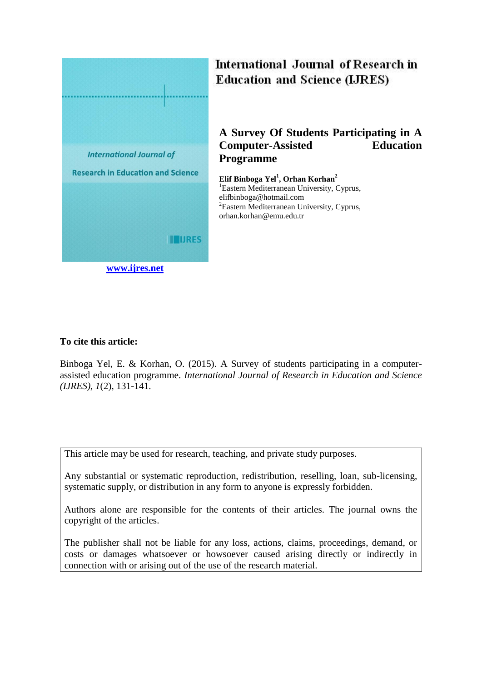

# International Journal of Research in **Education and Science (LJRES)**

## **A Survey Of Students Participating in A Computer-Assisted Education Programme**

**Elif Binboga Yel<sup>1</sup> , Orhan Korhan<sup>2</sup>** <sup>1</sup>Eastern Mediterranean University, Cyprus, elifbinboga@hotmail.com <sup>2</sup>Eastern Mediterranean University, Cyprus, orhan.korhan@emu.edu.tr

## **To cite this article:**

Binboga Yel, E. & Korhan, O. (2015). A Survey of students participating in a computerassisted education programme. *International Journal of Research in Education and Science (IJRES), 1*(2), 131-141.

This article may be used for research, teaching, and private study purposes.

Any substantial or systematic reproduction, redistribution, reselling, loan, sub-licensing, systematic supply, or distribution in any form to anyone is expressly forbidden.

Authors alone are responsible for the contents of their articles. The journal owns the copyright of the articles.

The publisher shall not be liable for any loss, actions, claims, proceedings, demand, or costs or damages whatsoever or howsoever caused arising directly or indirectly in connection with or arising out of the use of the research material.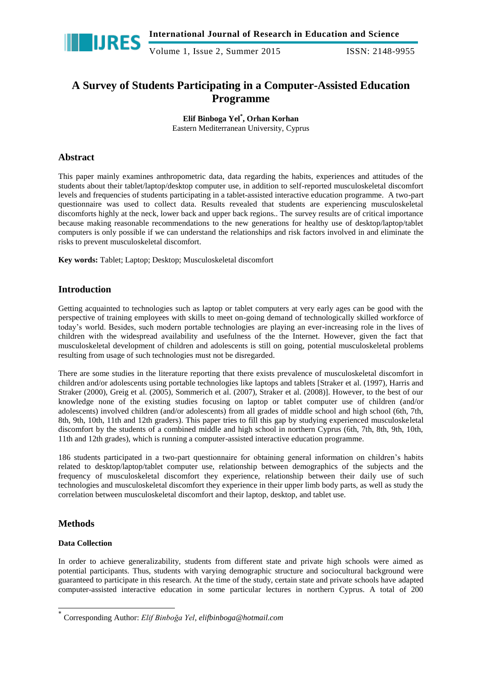

## **A Survey of Students Participating in a Computer-Assisted Education Programme**

**Elif Binboga Yel\* , Orhan Korhan** Eastern Mediterranean University, Cyprus

## **Abstract**

This paper mainly examines anthropometric data, data regarding the habits, experiences and attitudes of the students about their tablet/laptop/desktop computer use, in addition to self-reported musculoskeletal discomfort levels and frequencies of students participating in a tablet-assisted interactive education programme. A two-part questionnaire was used to collect data. Results revealed that students are experiencing musculoskeletal discomforts highly at the neck, lower back and upper back regions.. The survey results are of critical importance because making reasonable recommendations to the new generations for healthy use of desktop/laptop/tablet computers is only possible if we can understand the relationships and risk factors involved in and eliminate the risks to prevent musculoskeletal discomfort.

**Key words:** Tablet; Laptop; Desktop; Musculoskeletal discomfort

## **Introduction**

Getting acquainted to technologies such as laptop or tablet computers at very early ages can be good with the perspective of training employees with skills to meet on-going demand of technologically skilled workforce of today's world. Besides, such modern portable technologies are playing an ever-increasing role in the lives of children with the widespread availability and usefulness of the the Internet. However, given the fact that musculoskeletal development of children and adolescents is still on going, potential musculoskeletal problems resulting from usage of such technologies must not be disregarded.

There are some studies in the literature reporting that there exists prevalence of musculoskeletal discomfort in children and/or adolescents using portable technologies like laptops and tablets [Straker et al. (1997), Harris and Straker (2000), Greig et al. (2005), Sommerich et al. (2007), Straker et al. (2008)]. However, to the best of our knowledge none of the existing studies focusing on laptop or tablet computer use of children (and/or adolescents) involved children (and/or adolescents) from all grades of middle school and high school (6th, 7th, 8th, 9th, 10th, 11th and 12th graders). This paper tries to fill this gap by studying experienced musculoskeletal discomfort by the students of a combined middle and high school in northern Cyprus (6th, 7th, 8th, 9th, 10th, 11th and 12th grades), which is running a computer-assisted interactive education programme.

186 students participated in a two-part questionnaire for obtaining general information on children's habits related to desktop/laptop/tablet computer use, relationship between demographics of the subjects and the frequency of musculoskeletal discomfort they experience, relationship between their daily use of such technologies and musculoskeletal discomfort they experience in their upper limb body parts, as well as study the correlation between musculoskeletal discomfort and their laptop, desktop, and tablet use.

## **Methods**

-

## **Data Collection**

In order to achieve generalizability, students from different state and private high schools were aimed as potential participants. Thus, students with varying demographic structure and sociocultural background were guaranteed to participate in this research. At the time of the study, certain state and private schools have adapted computer-assisted interactive education in some particular lectures in northern Cyprus. A total of 200

<sup>\*</sup> Corresponding Author: *Elif Binboğa Yel, elifbinboga@hotmail.com*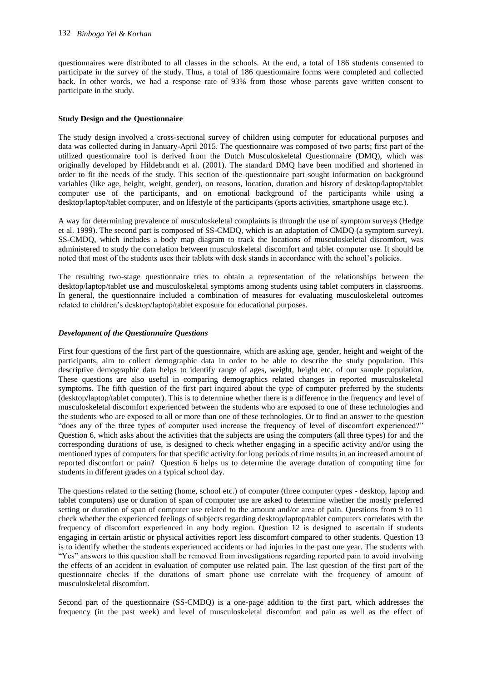questionnaires were distributed to all classes in the schools. At the end, a total of 186 students consented to participate in the survey of the study. Thus, a total of 186 questionnaire forms were completed and collected back. In other words, we had a response rate of 93% from those whose parents gave written consent to participate in the study.

#### **Study Design and the Questionnaire**

The study design involved a cross-sectional survey of children using computer for educational purposes and data was collected during in January-April 2015. The questionnaire was composed of two parts; first part of the utilized questionnaire tool is derived from the Dutch Musculoskeletal Questionnaire (DMQ), which was originally developed by Hildebrandt et al. (2001). The standard DMQ have been modified and shortened in order to fit the needs of the study. This section of the questionnaire part sought information on background variables (like age, height, weight, gender), on reasons, location, duration and history of desktop/laptop/tablet computer use of the participants, and on emotional background of the participants while using a desktop/laptop/tablet computer, and on lifestyle of the participants (sports activities, smartphone usage etc.).

A way for determining prevalence of musculoskeletal complaints is through the use of symptom surveys (Hedge et al. 1999). The second part is composed of SS-CMDQ, which is an adaptation of CMDQ (a symptom survey). SS-CMDQ, which includes a body map diagram to track the locations of musculoskeletal discomfort, was administered to study the correlation between musculoskeletal discomfort and tablet computer use. It should be noted that most of the students uses their tablets with desk stands in accordance with the school's policies.

The resulting two-stage questionnaire tries to obtain a representation of the relationships between the desktop/laptop/tablet use and musculoskeletal symptoms among students using tablet computers in classrooms. In general, the questionnaire included a combination of measures for evaluating musculoskeletal outcomes related to children's desktop/laptop/tablet exposure for educational purposes.

#### *Development of the Questionnaire Questions*

First four questions of the first part of the questionnaire, which are asking age, gender, height and weight of the participants, aim to collect demographic data in order to be able to describe the study population. This descriptive demographic data helps to identify range of ages, weight, height etc. of our sample population. These questions are also useful in comparing demographics related changes in reported musculoskeletal symptoms. The fifth question of the first part inquired about the type of computer preferred by the students (desktop/laptop/tablet computer). This is to determine whether there is a difference in the frequency and level of musculoskeletal discomfort experienced between the students who are exposed to one of these technologies and the students who are exposed to all or more than one of these technologies. Or to find an answer to the question "does any of the three types of computer used increase the frequency of level of discomfort experienced?" Question 6, which asks about the activities that the subjects are using the computers (all three types) for and the corresponding durations of use, is designed to check whether engaging in a specific activity and/or using the mentioned types of computers for that specific activity for long periods of time results in an increased amount of reported discomfort or pain? Question 6 helps us to determine the average duration of computing time for students in different grades on a typical school day.

The questions related to the setting (home, school etc.) of computer (three computer types - desktop, laptop and tablet computers) use or duration of span of computer use are asked to determine whether the mostly preferred setting or duration of span of computer use related to the amount and/or area of pain. Questions from 9 to 11 check whether the experienced feelings of subjects regarding desktop/laptop/tablet computers correlates with the frequency of discomfort experienced in any body region. Question 12 is designed to ascertain if students engaging in certain artistic or physical activities report less discomfort compared to other students. Question 13 is to identify whether the students experienced accidents or had injuries in the past one year. The students with "Yes" answers to this question shall be removed from investigations regarding reported pain to avoid involving the effects of an accident in evaluation of computer use related pain. The last question of the first part of the questionnaire checks if the durations of smart phone use correlate with the frequency of amount of musculoskeletal discomfort.

Second part of the questionnaire (SS-CMDQ) is a one-page addition to the first part, which addresses the frequency (in the past week) and level of musculoskeletal discomfort and pain as well as the effect of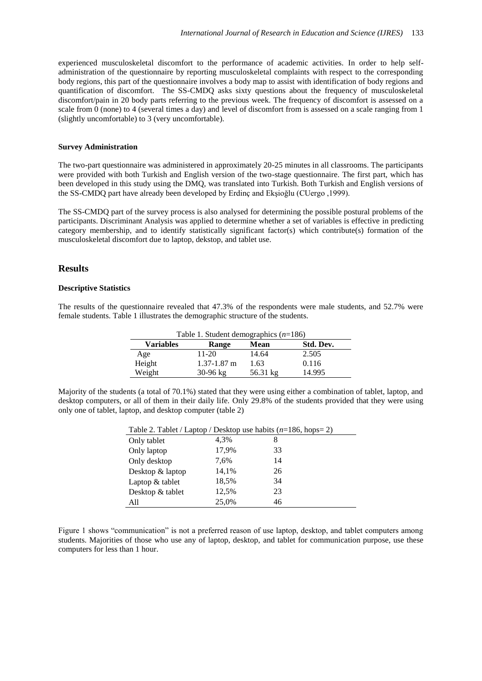experienced musculoskeletal discomfort to the performance of academic activities. In order to help selfadministration of the questionnaire by reporting musculoskeletal complaints with respect to the corresponding body regions, this part of the questionnaire involves a body map to assist with identification of body regions and quantification of discomfort. The SS-CMDQ asks sixty questions about the frequency of musculoskeletal discomfort/pain in 20 body parts referring to the previous week. The frequency of discomfort is assessed on a scale from 0 (none) to 4 (several times a day) and level of discomfort from is assessed on a scale ranging from 1 (slightly uncomfortable) to 3 (very uncomfortable).

#### **Survey Administration**

The two-part questionnaire was administered in approximately 20-25 minutes in all classrooms. The participants were provided with both Turkish and English version of the two-stage questionnaire. The first part, which has been developed in this study using the DMQ, was translated into Turkish. Both Turkish and English versions of the SS-CMDQ part have already been developed by Erdinç and Ekşioğlu (CUergo ,1999).

The SS-CMDQ part of the survey process is also analysed for determining the possible postural problems of the participants. Discriminant Analysis was applied to determine whether a set of variables is effective in predicting category membership, and to identify statistically significant factor(s) which contribute(s) formation of the musculoskeletal discomfort due to laptop, dekstop, and tablet use.

#### **Results**

#### **Descriptive Statistics**

The results of the questionnaire revealed that 47.3% of the respondents were male students, and 52.7% were female students. Table 1 illustrates the demographic structure of the students.

| Table 1. Student demographics $(n=186)$ |                      |             |           |  |  |  |  |
|-----------------------------------------|----------------------|-------------|-----------|--|--|--|--|
| <b>Variables</b>                        | Range                | <b>Mean</b> | Std. Dev. |  |  |  |  |
| Age                                     | 11-20                | 14.64       | 2.505     |  |  |  |  |
| Height                                  | $1.37 - 1.87$ m      | 1.63        | 0.116     |  |  |  |  |
| Weight                                  | $30 - 96 \text{ kg}$ | 56.31 kg    | 14.995    |  |  |  |  |

Majority of the students (a total of 70.1%) stated that they were using either a combination of tablet, laptop, and desktop computers, or all of them in their daily life. Only 29.8% of the students provided that they were using only one of tablet, laptop, and desktop computer (table 2)

| Table 2. Tablet / Laptop / Desktop use habits $(n=186, \text{hops}=2)$ |       |    |  |  |  |  |
|------------------------------------------------------------------------|-------|----|--|--|--|--|
| Only tablet                                                            | 4.3%  | 8  |  |  |  |  |
| Only laptop                                                            | 17,9% | 33 |  |  |  |  |
| Only desktop                                                           | 7.6%  | 14 |  |  |  |  |
| Desktop & laptop                                                       | 14,1% | 26 |  |  |  |  |
| Laptop & tablet                                                        | 18,5% | 34 |  |  |  |  |
| Desktop & tablet                                                       | 12,5% | 23 |  |  |  |  |
| All                                                                    | 25,0% | 46 |  |  |  |  |

Figure 1 shows "communication" is not a preferred reason of use laptop, desktop, and tablet computers among students. Majorities of those who use any of laptop, desktop, and tablet for communication purpose, use these computers for less than 1 hour.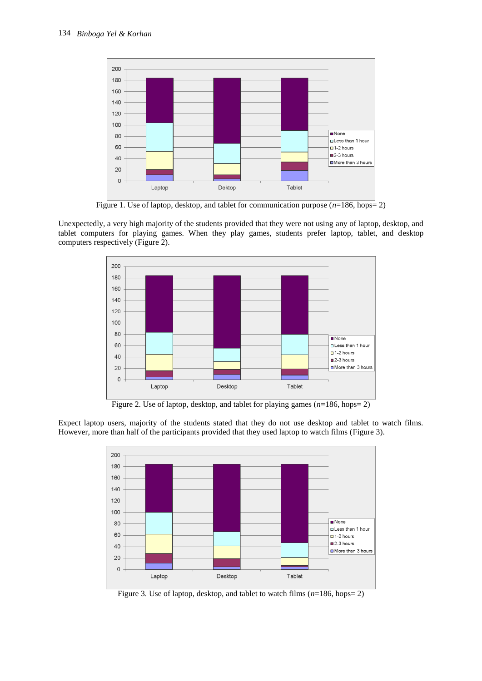

Figure 1. Use of laptop, desktop, and tablet for communication purpose (*n*=186, hops= 2)

Unexpectedly, a very high majority of the students provided that they were not using any of laptop, desktop, and tablet computers for playing games. When they play games, students prefer laptop, tablet, and desktop computers respectively (Figure 2).



Figure 2. Use of laptop, desktop, and tablet for playing games  $(n=186, \text{hops}= 2)$ 

Expect laptop users, majority of the students stated that they do not use desktop and tablet to watch films. However, more than half of the participants provided that they used laptop to watch films (Figure 3).



Figure 3. Use of laptop, desktop, and tablet to watch films (*n*=186, hops= 2)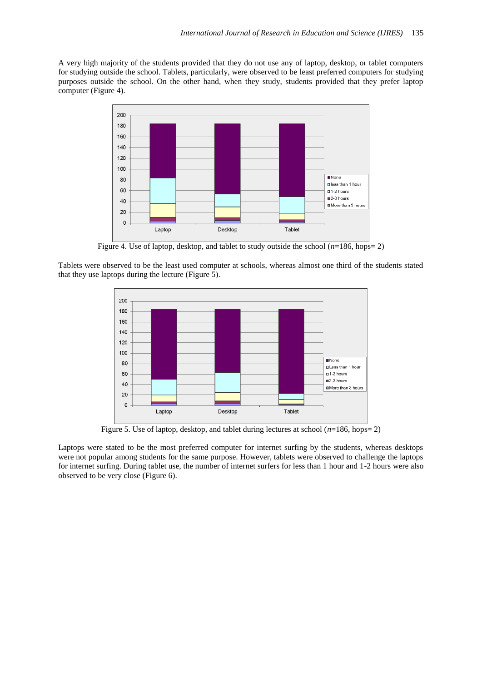A very high majority of the students provided that they do not use any of laptop, desktop, or tablet computers for studying outside the school. Tablets, particularly, were observed to be least preferred computers for studying purposes outside the school. On the other hand, when they study, students provided that they prefer laptop computer (Figure 4).



Figure 4. Use of laptop, desktop, and tablet to study outside the school (*n*=186, hops= 2)

Tablets were observed to be the least used computer at schools, whereas almost one third of the students stated that they use laptops during the lecture (Figure 5).



Figure 5. Use of laptop, desktop, and tablet during lectures at school (*n*=186, hops= 2)

Laptops were stated to be the most preferred computer for internet surfing by the students, whereas desktops were not popular among students for the same purpose. However, tablets were observed to challenge the laptops for internet surfing. During tablet use, the number of internet surfers for less than 1 hour and 1-2 hours were also observed to be very close (Figure 6).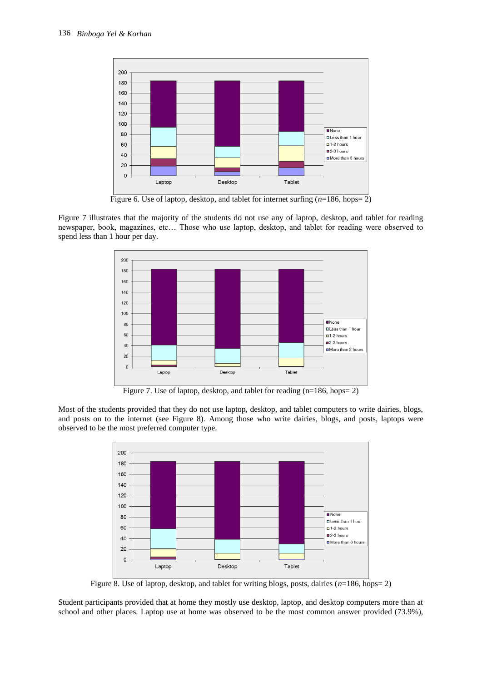

Figure 6. Use of laptop, desktop, and tablet for internet surfing  $(n=186, hops=2)$ 

Figure 7 illustrates that the majority of the students do not use any of laptop, desktop, and tablet for reading newspaper, book, magazines, etc… Those who use laptop, desktop, and tablet for reading were observed to spend less than 1 hour per day.



Figure 7. Use of laptop, desktop, and tablet for reading (n=186, hops= 2)

Most of the students provided that they do not use laptop, desktop, and tablet computers to write dairies, blogs, and posts on to the internet (see Figure 8). Among those who write dairies, blogs, and posts, laptops were observed to be the most preferred computer type.



Figure 8. Use of laptop, desktop, and tablet for writing blogs, posts, dairies (*n*=186, hops= 2)

Student participants provided that at home they mostly use desktop, laptop, and desktop computers more than at school and other places. Laptop use at home was observed to be the most common answer provided (73.9%),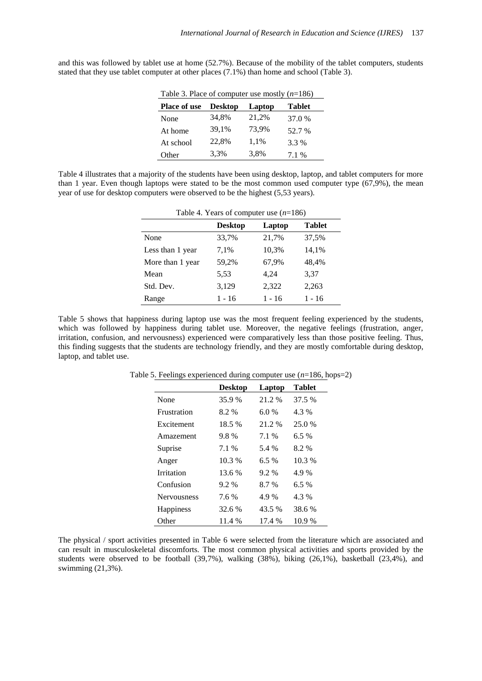and this was followed by tablet use at home (52.7%). Because of the mobility of the tablet computers, students stated that they use tablet computer at other places (7.1%) than home and school (Table 3).

| Table 3. Place of computer use mostly $(n=186)$ |                |        |               |  |  |  |  |
|-------------------------------------------------|----------------|--------|---------------|--|--|--|--|
| <b>Place of use</b>                             | <b>Desktop</b> | Laptop | <b>Tablet</b> |  |  |  |  |
| None                                            | 34,8%          | 21,2%  | 37.0 %        |  |  |  |  |
| At home                                         | 39,1%          | 73,9%  | 52.7 %        |  |  |  |  |
| At school                                       | 22,8%          | 1,1%   | 3.3 %         |  |  |  |  |
| Other                                           | 3,3%           | 3,8%   | 7.1 %         |  |  |  |  |

Table 4 illustrates that a majority of the students have been using desktop, laptop, and tablet computers for more than 1 year. Even though laptops were stated to be the most common used computer type (67,9%), the mean year of use for desktop computers were observed to be the highest (5,53 years).

| Table 4. Years of computer use $(n=186)$ |                |          |               |  |  |  |  |
|------------------------------------------|----------------|----------|---------------|--|--|--|--|
|                                          | <b>Desktop</b> | Laptop   | <b>Tablet</b> |  |  |  |  |
| None                                     | 33,7%          | 21,7%    | 37,5%         |  |  |  |  |
| Less than 1 year                         | 7.1%           | 10,3%    | 14,1%         |  |  |  |  |
| More than 1 year                         | 59,2%          | 67,9%    | 48,4%         |  |  |  |  |
| Mean                                     | 5.53           | 4.24     | 3,37          |  |  |  |  |
| Std. Dev.                                | 3,129          | 2,322    | 2,263         |  |  |  |  |
| Range                                    | 1 - 16         | $1 - 16$ | 1 - 16        |  |  |  |  |

Table 5 shows that happiness during laptop use was the most frequent feeling experienced by the students, which was followed by happiness during tablet use. Moreover, the negative feelings (frustration, anger, irritation, confusion, and nervousness) experienced were comparatively less than those positive feeling. Thus, this finding suggests that the students are technology friendly, and they are mostly comfortable during desktop, laptop, and tablet use.

| Table 5. Feelings experienced during computer use $(n=186, \text{hops}=2)$ |
|----------------------------------------------------------------------------|
|----------------------------------------------------------------------------|

|                    | <b>Desktop</b> | Laptop  | Tablet  |
|--------------------|----------------|---------|---------|
| None               | 35.9 %         | 21.2 %  | 37.5 %  |
| <b>Frustration</b> | 8.2 %          | 6.0%    | 4.3 %   |
| Excitement         | 18.5 %         | 21.2 %  | 25.0 %  |
| Amazement          | 9.8%           | 7.1 %   | $6.5\%$ |
| Suprise            | 7.1 %          | 5.4 %   | 8.2 %   |
| Anger              | 10.3 %         | $6.5\%$ | 10.3 %  |
| Irritation         | 13.6 %         | $9.2\%$ | 4.9 %   |
| Confusion          | $9.2\%$        | 8.7%    | 6.5%    |
| <b>Nervousness</b> | 7.6 %          | 4.9%    | 4.3 %   |
| <b>Happiness</b>   | 32.6 %         | 43.5 %  | 38.6 %  |
| Other              | 11.4 %         | 17.4 %  | 10.9 %  |

The physical / sport activities presented in Table 6 were selected from the literature which are associated and can result in musculoskeletal discomforts. The most common physical activities and sports provided by the students were observed to be football (39,7%), walking (38%), biking (26,1%), basketball (23,4%), and swimming (21,3%).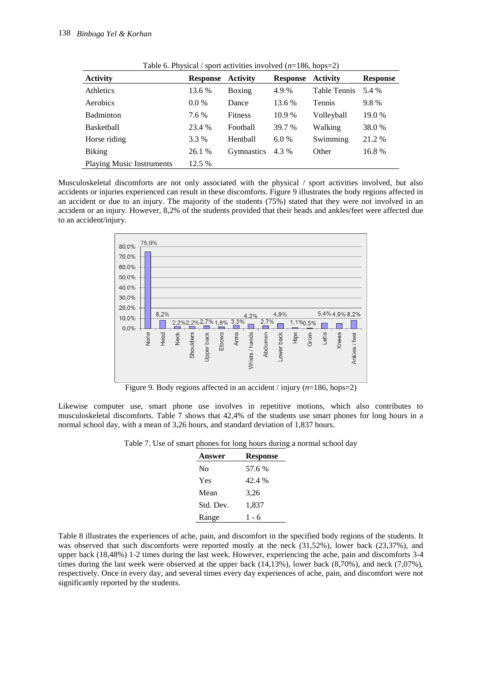|                                  |                          | Tuble 0. I Hypical / sport activities involved $(n-100, 100p-2)$ |                          |              |                 |
|----------------------------------|--------------------------|------------------------------------------------------------------|--------------------------|--------------|-----------------|
| <b>Activity</b>                  | <b>Response Activity</b> |                                                                  | <b>Response Activity</b> |              | <b>Response</b> |
| Athletics                        | 13.6 %                   | Boxing                                                           | 4.9 %                    | Table Tennis | 5.4 %           |
| Aerobics                         | $0.0\%$                  | Dance                                                            | 13.6 %                   | Tennis       | 9.8%            |
| <b>Badminton</b>                 | 7.6 %                    | <b>Fitness</b>                                                   | 10.9 %                   | Volleyball   | 19.0 %          |
| Basketball                       | 23.4 %                   | Football                                                         | 39.7 %                   | Walking      | 38.0%           |
| Horse riding                     | 3.3 %                    | Hentball                                                         | 6.0 %                    | Swimming     | 21.2 %          |
| <b>Biking</b>                    | 26.1 %                   | Gymnastics                                                       | 4.3 %                    | Other        | 16.8%           |
| <b>Playing Music Instruments</b> | 12.5 %                   |                                                                  |                          |              |                 |

Table 6. Physical / sport activities involved  $(n=186, \text{hons}=2)$ 

Musculoskeletal discomforts are not only associated with the physical / sport activities involved, but also accidents or injuries experienced can result in these discomforts. Figure 9 illustrates the body regions affected in an accident or due to an injury. The majority of the students (75%) stated that they were not involved in an accident or an injury. However, 8,2% of the students provided that their heads and ankles/feet were affected due to an accident/injury.



Figure 9. Body regions affected in an accident / injury (*n*=186, hops=2)

Likewise computer use, smart phone use involves in repetitive motions, which also contributes to musculoskeletal discomforts. Table 7 shows that 42,4% of the students use smart phones for long hours in a normal school day, with a mean of 3,26 hours, and standard deviation of 1,837 hours.

Table 7. Use of smart phones for long hours during a normal school day

| <b>Answer</b> | <b>Response</b> |
|---------------|-----------------|
| No            | 57.6 %          |
| Yes           | 42.4 %          |
| Mean          | 3,26            |
| Std. Dev.     | 1,837           |
| Range         | 1 - 6           |

Table 8 illustrates the experiences of ache, pain, and discomfort in the specified body regions of the students. It was observed that such discomforts were reported mostly at the neck (31,52%), lower back (23,37%), and upper back (18,48%) 1-2 times during the last week. However, experiencing the ache, pain and discomforts 3-4 times during the last week were observed at the upper back (14,13%), lower back (8,70%), and neck (7,07%), respectively. Once in every day, and several times every day experiences of ache, pain, and discomfort were not significantly reported by the students.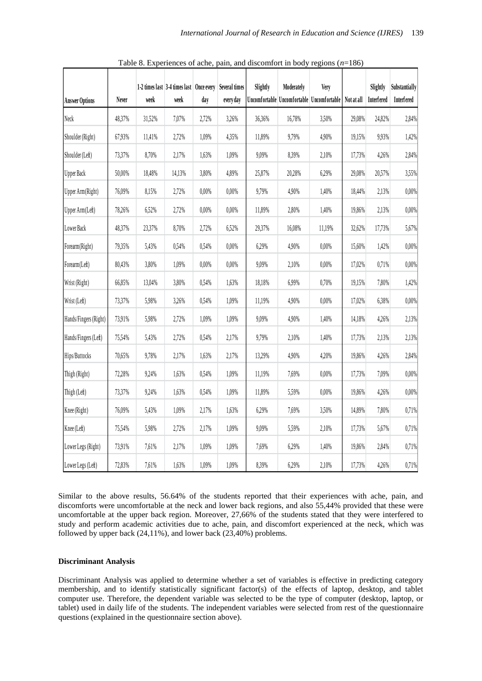| <b>Answer Options</b> | Never  | week   | 1-2 times last 3-4 times last   Once every   Several times<br>week | day   | every day | Slightly | Moderately | <b>Very</b><br>Uncomfortable Uncomfortable Uncomfortable | <b>Not at all</b> | Slightly<br><b>Interfered</b> | Substantially<br>Interfered |
|-----------------------|--------|--------|--------------------------------------------------------------------|-------|-----------|----------|------------|----------------------------------------------------------|-------------------|-------------------------------|-----------------------------|
| Neck                  | 48,37% | 31,52% | 7,07%                                                              | 2,72% | 3,26%     | 36,36%   | 16,78%     | 3,50%                                                    | 29,08%            | 24,82%                        | 2,84%                       |
| Shoulder (Right)      | 67,93% | 11,41% | 2,72%                                                              | 1,09% | 4,35%     | 11,89%   | 9,79%      | 4,90%                                                    | 19,15%            | 9,93%                         | 1,42%                       |
| Shoulder (Left)       | 73,37% | 8,70%  | 2,17%                                                              | 1,63% | 1,09%     | 9,09%    | 8,39%      | 2,10%                                                    | 17,73%            | 4,26%                         | 2,84%                       |
| <b>Upper Back</b>     | 50,00% | 18,48% | 14,13%                                                             | 3,80% | 4,89%     | 25,87%   | 20,28%     | 6,29%                                                    | 29,08%            | 20,57%                        | 3,55%                       |
| Upper Arm(Right)      | 76,09% | 8,15%  | 2,72%                                                              | 0,00% | 0,00%     | 9,79%    | 4,90%      | 1,40%                                                    | 18,44%            | 2,13%                         | 0,00%                       |
| Upper Arm(Left)       | 78,26% | 6,52%  | 2,72%                                                              | 0,00% | 0,00%     | 11,89%   | 2,80%      | 1,40%                                                    | 19,86%            | 2,13%                         | 0,00%                       |
| Lower Back            | 48,37% | 23,37% | 8,70%                                                              | 2,72% | 6,52%     | 29,37%   | 16,08%     | 11,19%                                                   | 32,62%            | 17,73%                        | 5,67%                       |
| Forearm(Right)        | 79,35% | 5,43%  | 0,54%                                                              | 0,54% | 0,00%     | 6,29%    | 4,90%      | 0,00%                                                    | 15,60%            | 1,42%                         | 0,00%                       |
| Forearm(Left)         | 80,43% | 3,80%  | 1,09%                                                              | 0,00% | 0,00%     | 9,09%    | 2,10%      | 0,00%                                                    | 17.02%            | 0,71%                         | 0,00%                       |
| Wrist (Right)         | 66,85% | 13,04% | 3,80%                                                              | 0,54% | 1,63%     | 18,18%   | 6,99%      | 0,70%                                                    | 19,15%            | 7,80%                         | 1,42%                       |
| Wrist (Left)          | 73,37% | 5,98%  | 3,26%                                                              | 0,54% | 1,09%     | 11,19%   | 4,90%      | 0,00%                                                    | 17,02%            | 6,38%                         | 0,00%                       |
| Hands/Fingers (Right) | 73,91% | 5,98%  | 2,72%                                                              | 1,09% | 1,09%     | 9,09%    | 4,90%      | 1,40%                                                    | 14,18%            | 4,26%                         | 2,13%                       |
| Hands/Fingers (Left)  | 75,54% | 5,43%  | 2,72%                                                              | 0,54% | 2,17%     | 9,79%    | 2,10%      | 1,40%                                                    | 17,73%            | 2,13%                         | 2,13%                       |
| Hips/Buttocks         | 70,65% | 9,78%  | 2,17%                                                              | 1,63% | 2,17%     | 13,29%   | 4,90%      | 4,20%                                                    | 19,86%            | 4,26%                         | 2,84%                       |
| Thigh (Right)         | 72,28% | 9,24%  | 1,63%                                                              | 0,54% | 1,09%     | 11,19%   | 7,69%      | 0,00%                                                    | 17,73%            | 7,09%                         | 0,00%                       |
| Thigh (Left)          | 73,37% | 9,24%  | 1,63%                                                              | 0,54% | 1,09%     | 11,89%   | 5,59%      | 0,00%                                                    | 19,86%            | 4,26%                         | 0,00%                       |
| Knee (Right)          | 76,09% | 5,43%  | 1,09%                                                              | 2,17% | 1,63%     | 6,29%    | 7,69%      | 3,50%                                                    | 14,89%            | 7,80%                         | 0,71%                       |
| Knee (Left)           | 75,54% | 5,98%  | 2,72%                                                              | 2,17% | 1,09%     | 9,09%    | 5,59%      | 2,10%                                                    | 17,73%            | 5,67%                         | 0,71%                       |
| Lower Legs (Right)    | 73,91% | 7,61%  | 2,17%                                                              | 1,09% | 1,09%     | 7,69%    | 6,29%      | 1,40%                                                    | 19,86%            | 2,84%                         | 0,71%                       |
| Lower Legs (Left)     | 72,83% | 7,61%  | 1,63%                                                              | 1,09% | 1,09%     | 8,39%    | 6,29%      | 2,10%                                                    | 17,73%            | 4,26%                         | $0,\!71\%$                  |

Table 8. Experiences of ache, pain, and discomfort in body regions (*n*=186)

Similar to the above results, 56.64% of the students reported that their experiences with ache, pain, and discomforts were uncomfortable at the neck and lower back regions, and also 55,44% provided that these were uncomfortable at the upper back region. Moreover, 27,66% of the students stated that they were interfered to study and perform academic activities due to ache, pain, and discomfort experienced at the neck, which was followed by upper back (24,11%), and lower back (23,40%) problems.

#### **Discriminant Analysis**

Discriminant Analysis was applied to determine whether a set of variables is effective in predicting category membership, and to identify statistically significant factor(s) of the effects of laptop, desktop, and tablet computer use. Therefore, the dependent variable was selected to be the type of computer (desktop, laptop, or tablet) used in daily life of the students. The independent variables were selected from rest of the questionnaire questions (explained in the questionnaire section above).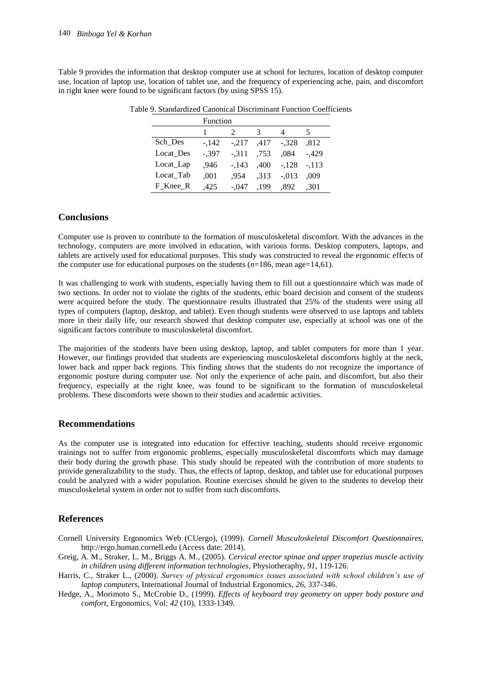Table 9 provides the information that desktop computer use at school for lectures, location of desktop computer use, location of laptop use, location of tablet use, and the frequency of experiencing ache, pain, and discomfort in right knee were found to be significant factors (by using SPSS 15).

|           | Function |         |      |         |         |
|-----------|----------|---------|------|---------|---------|
|           |          | 2       | 3    |         |         |
| Sch Des   | $-142$   | $-.217$ | .417 | $-.328$ | .812    |
| Locat Des | $-.397$  | $-.311$ | .753 | .084    | $-429$  |
| Locat_Lap | .946     | $-143$  | .400 | $-.128$ | $-.113$ |
| Locat Tab | .001     | .954    | ,313 | $-.013$ | .009    |
| F Knee R  | .425     | $-.047$ | .199 | ,892    | .301    |

Table 9. Standardized Canonical Discriminant Function Coefficients

## **Conclusions**

Computer use is proven to contribute to the formation of musculoskeletal discomfort. With the advances in the technology, computers are more involved in education, with various forms. Desktop computers, laptops, and tablets are actively used for educational purposes. This study was constructed to reveal the ergonomic effects of the computer use for educational purposes on the students  $(n=186, \text{ mean age}=14,61)$ .

It was challenging to work with students, especially having them to fill out a questionnaire which was made of two sections. In order not to violate the rights of the students, ethic board decision and consent of the students were acquired before the study. The questionnaire results illustrated that 25% of the students were using all types of computers (laptop, desktop, and tablet). Even though students were observed to use laptops and tablets more in their daily life, our research showed that desktop computer use, especially at school was one of the significant factors contribute to musculoskeletal discomfort.

The majorities of the students have been using desktop, laptop, and tablet computers for more than 1 year. However, our findings provided that students are experiencing musculoskeletal discomforts highly at the neck, lower back and upper back regions. This finding shows that the students do not recognize the importance of ergonomic posture during computer use. Not only the experience of ache pain, and discomfort, but also their frequency, especially at the right knee, was found to be significant to the formation of musculoskeletal problems. These discomforts were shown to their studies and academic activities.

## **Recommendations**

As the computer use is integrated into education for effective teaching, students should receive ergonomic trainings not to suffer from ergonomic problems, especially musculoskeletal discomforts which may damage their body during the growth phase. This study should be repeated with the contribution of more students to provide generalizability to the study. Thus, the effects of laptop, desktop, and tablet use for educational purposes could be analyzed with a wider population. Routine exercises should be given to the students to develop their musculoskeletal system in order not to suffer from such discomforts.

## **References**

- Cornell University Ergonomics Web (CUergo), (1999). *Cornell Musculoskeletal Discomfort Questionnaires*, http://ergo.human.cornell.edu (Access date: 2014).
- Greig, A. M., Straker, L. M., Briggs A. M., (2005). *Cervical erector spinae and upper trapezius muscle activity in children using different information technologies*, Physiotheraphy, *91*, 119-126.
- Harris, C., Straker L., (2000). *Survey of physical ergonomics issues associated with school children's use of laptop computers*, International Journal of Industrial Ergonomics, *26*, 337-346.
- Hedge, A., Morimoto S., McCrobie D., (1999). *Effects of keyboard tray geometry on upper body posture and comfort,* Ergonomics, Vol: *42* (10), 1333-1349.